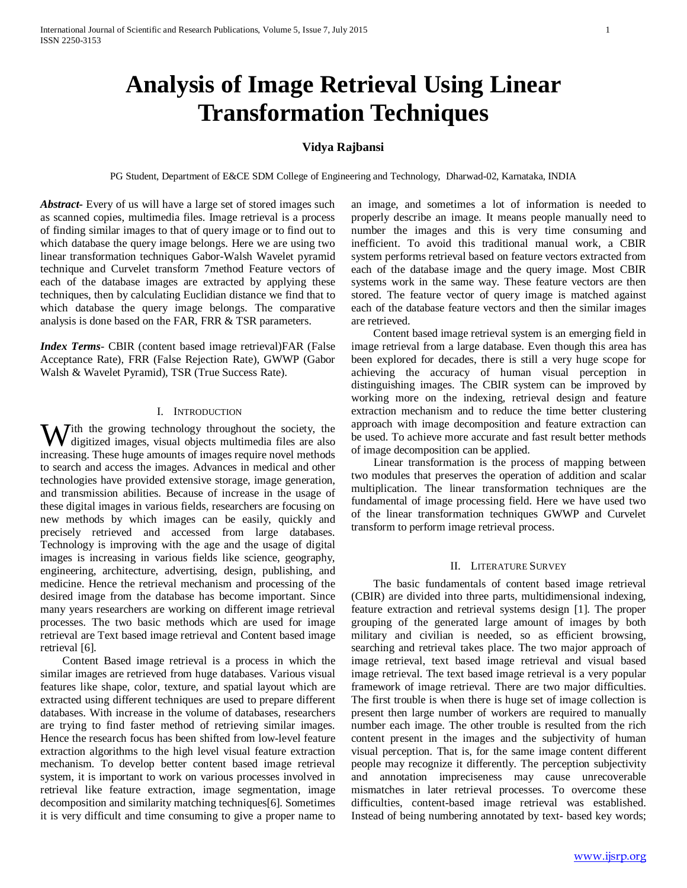# **Analysis of Image Retrieval Using Linear Transformation Techniques**

# **Vidya Rajbansi**

PG Student, Department of E&CE SDM College of Engineering and Technology, Dharwad-02, Karnataka, INDIA

*Abstract***-** Every of us will have a large set of stored images such as scanned copies, multimedia files. Image retrieval is a process of finding similar images to that of query image or to find out to which database the query image belongs. Here we are using two linear transformation techniques Gabor-Walsh Wavelet pyramid technique and Curvelet transform 7method Feature vectors of each of the database images are extracted by applying these techniques, then by calculating Euclidian distance we find that to which database the query image belongs. The comparative analysis is done based on the FAR, FRR & TSR parameters.

*Index Terms*- CBIR (content based image retrieval)FAR (False Acceptance Rate), FRR (False Rejection Rate), GWWP (Gabor Walsh & Wavelet Pyramid), TSR (True Success Rate).

## I. INTRODUCTION

ith the growing technology throughout the society, the **W** digitized images, visual objects multimedia files are also and digitized images, visual objects multimedia files are also increasing. These huge amounts of images require novel methods to search and access the images. Advances in medical and other technologies have provided extensive storage, image generation, and transmission abilities. Because of increase in the usage of these digital images in various fields, researchers are focusing on new methods by which images can be easily, quickly and precisely retrieved and accessed from large databases. Technology is improving with the age and the usage of digital images is increasing in various fields like science, geography, engineering, architecture, advertising, design, publishing, and medicine. Hence the retrieval mechanism and processing of the desired image from the database has become important. Since many years researchers are working on different image retrieval processes. The two basic methods which are used for image retrieval are Text based image retrieval and Content based image retrieval [6].

 Content Based image retrieval is a process in which the similar images are retrieved from huge databases. Various visual features like shape, color, texture, and spatial layout which are extracted using different techniques are used to prepare different databases. With increase in the volume of databases, researchers are trying to find faster method of retrieving similar images. Hence the research focus has been shifted from low-level feature extraction algorithms to the high level visual feature extraction mechanism. To develop better content based image retrieval system, it is important to work on various processes involved in retrieval like feature extraction, image segmentation, image decomposition and similarity matching techniques[6]. Sometimes it is very difficult and time consuming to give a proper name to an image, and sometimes a lot of information is needed to properly describe an image. It means people manually need to number the images and this is very time consuming and inefficient. To avoid this traditional manual work, a CBIR system performs retrieval based on feature vectors extracted from each of the database image and the query image. Most CBIR systems work in the same way. These feature vectors are then stored. The feature vector of query image is matched against each of the database feature vectors and then the similar images are retrieved.

 Content based image retrieval system is an emerging field in image retrieval from a large database. Even though this area has been explored for decades, there is still a very huge scope for achieving the accuracy of human visual perception in distinguishing images. The CBIR system can be improved by working more on the indexing, retrieval design and feature extraction mechanism and to reduce the time better clustering approach with image decomposition and feature extraction can be used. To achieve more accurate and fast result better methods of image decomposition can be applied.

 Linear transformation is the process of mapping between two modules that preserves the operation of addition and scalar multiplication. The linear transformation techniques are the fundamental of image processing field. Here we have used two of the linear transformation techniques GWWP and Curvelet transform to perform image retrieval process.

# II. LITERATURE SURVEY

 The basic fundamentals of content based image retrieval (CBIR) are divided into three parts, multidimensional indexing, feature extraction and retrieval systems design [1]. The proper grouping of the generated large amount of images by both military and civilian is needed, so as efficient browsing, searching and retrieval takes place. The two major approach of image retrieval, text based image retrieval and visual based image retrieval. The text based image retrieval is a very popular framework of image retrieval. There are two major difficulties. The first trouble is when there is huge set of image collection is present then large number of workers are required to manually number each image. The other trouble is resulted from the rich content present in the images and the subjectivity of human visual perception. That is, for the same image content different people may recognize it differently. The perception subjectivity and annotation impreciseness may cause unrecoverable mismatches in later retrieval processes. To overcome these difficulties, content-based image retrieval was established. Instead of being numbering annotated by text- based key words;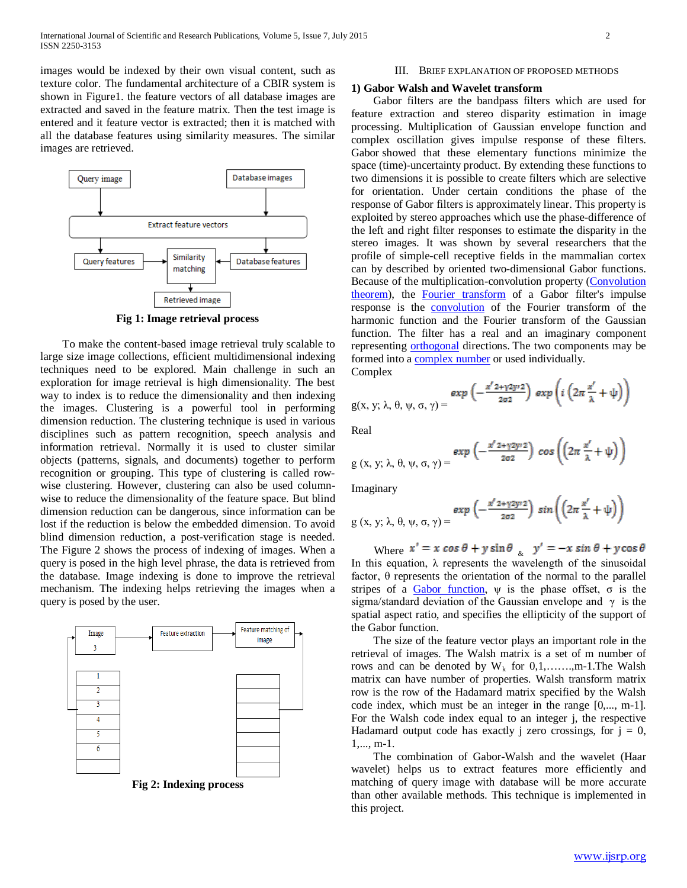images would be indexed by their own visual content, such as texture color. The fundamental architecture of a CBIR system is shown in Figure1. the feature vectors of all database images are extracted and saved in the feature matrix. Then the test image is entered and it feature vector is extracted; then it is matched with all the database features using similarity measures. The similar images are retrieved.



**Fig 1: Image retrieval process**

 To make the content-based image retrieval truly scalable to large size image collections, efficient multidimensional indexing techniques need to be explored. Main challenge in such an exploration for image retrieval is high dimensionality. The best way to index is to reduce the dimensionality and then indexing the images. Clustering is a powerful tool in performing dimension reduction. The clustering technique is used in various disciplines such as pattern recognition, speech analysis and information retrieval. Normally it is used to cluster similar objects (patterns, signals, and documents) together to perform recognition or grouping. This type of clustering is called rowwise clustering. However, clustering can also be used columnwise to reduce the dimensionality of the feature space. But blind dimension reduction can be dangerous, since information can be lost if the reduction is below the embedded dimension. To avoid blind dimension reduction, a post-verification stage is needed. The Figure 2 shows the process of indexing of images. When a query is posed in the high level phrase, the data is retrieved from the database. Image indexing is done to improve the retrieval mechanism. The indexing helps retrieving the images when a query is posed by the user.



**Fig 2: Indexing process**

#### III. BRIEF EXPLANATION OF PROPOSED METHODS

#### **1) Gabor Walsh and Wavelet transform**

 Gabor filters are the bandpass filters which are used for feature extraction and stereo disparity estimation in image processing. Multiplication of Gaussian envelope function and complex oscillation gives impulse response of these filters. Gabor showed that these elementary functions minimize the space (time)-uncertainty product. By extending these functions to two dimensions it is possible to create filters which are selective for orientation. Under certain conditions the phase of the response of Gabor filters is approximately linear. This property is exploited by stereo approaches which use the phase-difference of the left and right filter responses to estimate the disparity in the stereo images. It was shown by several researchers that the profile of simple-cell receptive fields in the mammalian cortex can by described by oriented two-dimensional Gabor functions. Because of the multiplication-convolution property [\(Convolution](http://en.wikipedia.org/wiki/Convolution_theorem)  [theorem\)](http://en.wikipedia.org/wiki/Convolution_theorem), the [Fourier transform](http://en.wikipedia.org/wiki/Fourier_transform) of a Gabor filter's impulse response is the [convolution](http://en.wikipedia.org/wiki/Convolution) of the Fourier transform of the harmonic function and the Fourier transform of the Gaussian function. The filter has a real and an imaginary component representing [orthogonal](http://en.wikipedia.org/wiki/Orthogonal) directions. The two components may be formed into [a complex number](http://en.wikipedia.org/wiki/Complex_number) or used individually. Complex

$$
g(x, y; \lambda, \theta, \psi, \sigma, \gamma) = \exp\left(-\frac{x^{\prime} 2 + \gamma 2 y \cdot 2}{2 \sigma^2}\right) \exp\left(i\left(2\pi \frac{x^{\prime}}{\lambda} + \psi\right)\right)
$$

Real

$$
g(x, y; \lambda, \theta, \psi, \sigma, \gamma) = \frac{\exp\left(-\frac{x^{\prime} 2 + \gamma 2y^2}{2\sigma^2}\right) \cos\left(\left(2\pi \frac{x^{\prime}}{\lambda} + \psi\right)\right)}{2\sigma^2}
$$

Imaginary

 $g(x, y; \lambda, \theta,$ 

$$
\psi,\sigma,\gamma)=\frac{\text{exp}\left(-\frac{x^{\prime}2+\gamma2y\prime2}{2\sigma^2}\right)\,\text{sin}\left(\left(2\pi\,\frac{x^{\prime}}{\lambda}+\psi\right)\right)}{\text{sin}\left(\frac{x^{\prime}}{\lambda}\right)}
$$

Where  $x' = x \cos \theta + y \sin \theta$   $\begin{cases} y' = -x \sin \theta + y \cos \theta \end{cases}$ In this equation,  $\lambda$  represents the wavelength of the sinusoidal factor,  $\theta$  represents the orientation of the normal to the parallel stripes of a [Gabor function](http://en.wikipedia.org/wiki/Gabor_function),  $\psi$  is the phase offset,  $\sigma$  is the sigma/standard deviation of the Gaussian envelope and  $\gamma$  is the spatial aspect ratio, and specifies the ellipticity of the support of the Gabor function.

 The size of the feature vector plays an important role in the retrieval of images. The Walsh matrix is a set of m number of rows and can be denoted by  $W_k$  for  $0,1,......,m-1$ . The Walsh matrix can have number of properties. Walsh transform matrix row is the row of the Hadamard matrix specified by the Walsh code index, which must be an integer in the range [0,..., m-1]. For the Walsh code index equal to an integer j, the respective Hadamard output code has exactly j zero crossings, for  $j = 0$ , 1,..., m-1.

 The combination of Gabor-Walsh and the wavelet (Haar wavelet) helps us to extract features more efficiently and matching of query image with database will be more accurate than other available methods. This technique is implemented in this project.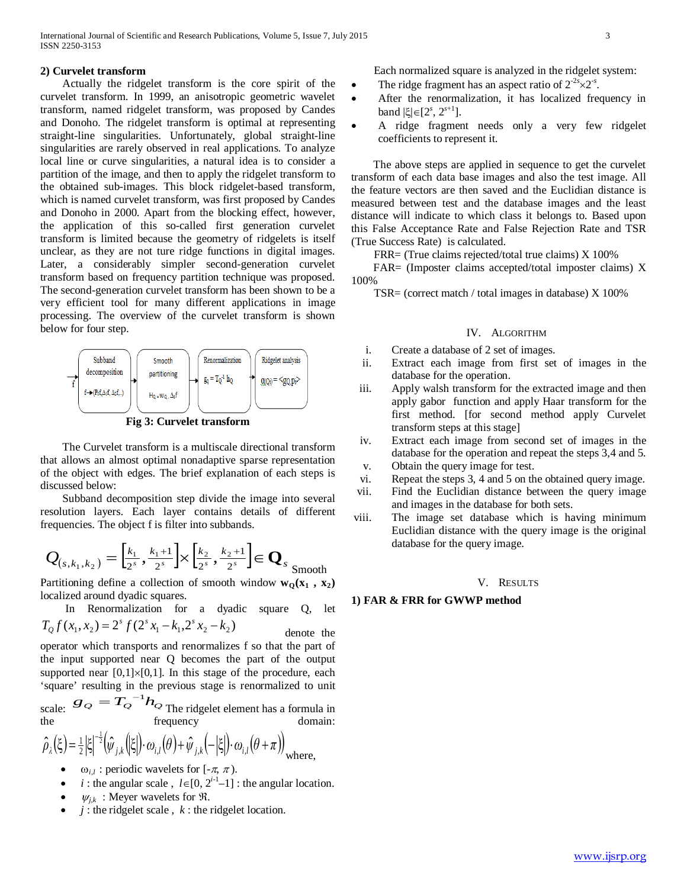# **2) Curvelet transform**

 Actually the ridgelet transform is the core spirit of the curvelet transform. In 1999, an anisotropic geometric wavelet transform, named ridgelet transform, was proposed by Candes and Donoho. The ridgelet transform is optimal at representing straight-line singularities. Unfortunately, global straight-line singularities are rarely observed in real applications. To analyze local line or curve singularities, a natural idea is to consider a partition of the image, and then to apply the ridgelet transform to the obtained sub-images. This block ridgelet-based transform, which is named curvelet transform, was first proposed by Candes and Donoho in 2000. Apart from the blocking effect, however, the application of this so-called first generation curvelet transform is limited because the geometry of ridgelets is itself unclear, as they are not ture ridge functions in digital images. Later, a considerably simpler second-generation curvelet transform based on frequency partition technique was proposed. The second-generation curvelet transform has been shown to be a very efficient tool for many different applications in image processing. The overview of the curvelet transform is shown below for four step.



**Fig 3: Curvelet transform**

 The Curvelet transform is a multiscale directional transform that allows an almost optimal nonadaptive sparse representation of the object with edges. The brief explanation of each steps is discussed below:

 Subband decomposition step divide the image into several resolution layers. Each layer contains details of different frequencies. The object f is filter into subbands.

$$
Q_{(s,k_1,k_2)} = \left[\frac{k_1}{2^s}, \frac{k_1+1}{2^s}\right] \times \left[\frac{k_2}{2^s}, \frac{k_2+1}{2^s}\right] \in \mathbf{Q}_s
$$
smooth

Partitioning define a collection of smooth window  $w_0(x_1, x_2)$ localized around dyadic squares.

 In Renormalization for a dyadic square Q, let  $(T_{Q} f(x_{1}, x_{2}) = 2^{s} f(2^{s} x_{1} - k_{1}, 2^{s} x_{2} - k_{2})$  denote the

operator which transports and renormalizes f so that the part of the input supported near Q becomes the part of the output supported near  $[0,1] \times [0,1]$ . In this stage of the procedure, each 'square' resulting in the previous stage is renormalized to unit

scale:  $g_Q = T_Q^{-1} h_Q$  The ridgelet element has a formula in the frequency domain:

$$
\hat{\rho}_{\lambda}(\xi) = \frac{1}{2} |\xi|^{-\frac{1}{2}} (\hat{\psi}_{j,k}(|\xi|) \cdot \omega_{i,l}(\theta) + \hat{\psi}_{j,k}(-|\xi|) \cdot \omega_{i,l}(\theta + \pi))_{\text{where,}}
$$

- $\omega_{i,l}$ : periodic wavelets for [- $\pi$ ,  $\pi$ ).
- *i* : the angular scale,  $l \in [0, 2^{i-1}-1]$  : the angular location.
- $\psi_{i,k}$ : Meyer wavelets for  $\Re$ .
- $j$  : the ridgelet scale,  $k$  : the ridgelet location.

Each normalized square is analyzed in the ridgelet system:

- The ridge fragment has an aspect ratio of  $2^{-2s} \times 2^{-s}$ .
- After the renormalization, it has localized frequency in  $\text{band }$ |ξ|∈[2<sup>*s*</sup>, 2<sup>*s*+1</sup>].
- A ridge fragment needs only a very few ridgelet coefficients to represent it.

 The above steps are applied in sequence to get the curvelet transform of each data base images and also the test image. All the feature vectors are then saved and the Euclidian distance is measured between test and the database images and the least distance will indicate to which class it belongs to. Based upon this False Acceptance Rate and False Rejection Rate and TSR (True Success Rate) is calculated.

FRR= (True claims rejected/total true claims) X 100%

 FAR= (Imposter claims accepted/total imposter claims) X 100%

TSR= (correct match / total images in database) X 100%

# IV. ALGORITHM

- i. Create a database of 2 set of images.
- ii. Extract each image from first set of images in the database for the operation.
- iii. Apply walsh transform for the extracted image and then apply gabor function and apply Haar transform for the first method. [for second method apply Curvelet transform steps at this stage]
- iv. Extract each image from second set of images in the database for the operation and repeat the steps 3,4 and 5.
- v. Obtain the query image for test.
- vi. Repeat the steps 3, 4 and 5 on the obtained query image.
- vii. Find the Euclidian distance between the query image and images in the database for both sets.
- viii. The image set database which is having minimum Euclidian distance with the query image is the original database for the query image.

### V. RESULTS

### **1) FAR & FRR for GWWP method**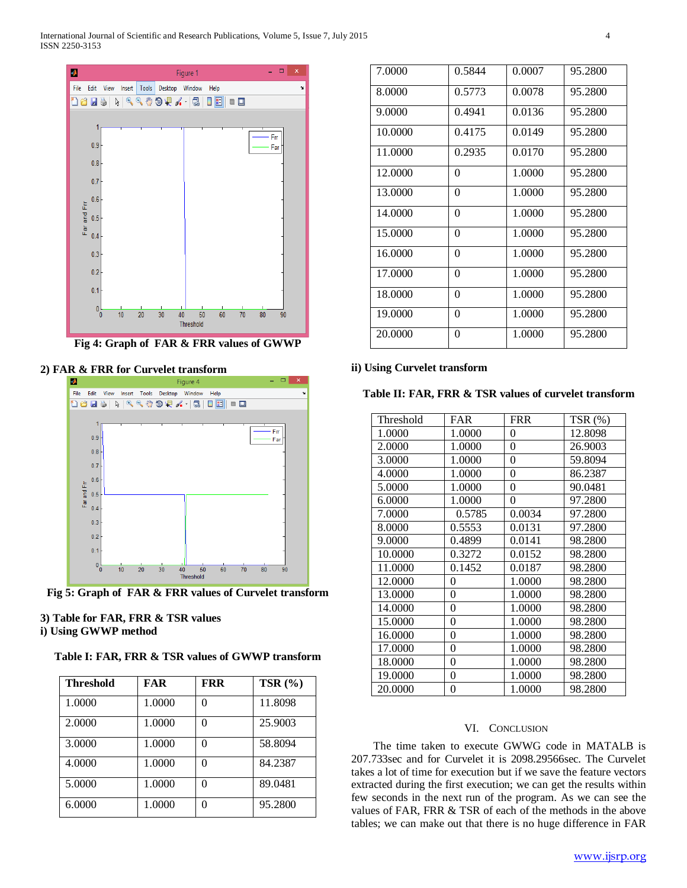International Journal of Scientific and Research Publications, Volume 5, Issue 7, July 2015 4 ISSN 2250-3153



**Fig 4: Graph of FAR & FRR values of GWWP**

# **2) FAR & FRR for Curvelet transform**





# **3) Table for FAR, FRR & TSR values i) Using GWWP method**

**Table I: FAR, FRR & TSR values of GWWP transform**

| <b>Threshold</b> | FAR    | <b>FRR</b> | TSR $(% )$ |
|------------------|--------|------------|------------|
| 1.0000           | 1.0000 | 0          | 11.8098    |
| 2.0000           | 1.0000 | 0          | 25.9003    |
| 3.0000           | 1.0000 | 0          | 58.8094    |
| 4.0000           | 1.0000 | 0          | 84.2387    |
| 5.0000           | 1.0000 | 0          | 89.0481    |
| 6.0000           | 1.0000 | 0          | 95.2800    |

| 7.0000  | 0.5844   | 0.0007 | 95.2800 |
|---------|----------|--------|---------|
| 8.0000  | 0.5773   | 0.0078 | 95.2800 |
| 9.0000  | 0.4941   | 0.0136 | 95.2800 |
| 10.0000 | 0.4175   | 0.0149 | 95.2800 |
| 11.0000 | 0.2935   | 0.0170 | 95.2800 |
| 12.0000 | 0        | 1.0000 | 95.2800 |
| 13.0000 | $\theta$ | 1.0000 | 95.2800 |
| 14,0000 | $\theta$ | 1.0000 | 95.2800 |
| 15.0000 | $\theta$ | 1.0000 | 95.2800 |
| 16.0000 | $\theta$ | 1.0000 | 95.2800 |
| 17.0000 | $\theta$ | 1.0000 | 95.2800 |
| 18.0000 | $\theta$ | 1.0000 | 95.2800 |
| 19,0000 | $\theta$ | 1.0000 | 95.2800 |
| 20.0000 | 0        | 1.0000 | 95.2800 |

# **ii) Using Curvelet transform**

**Table II: FAR, FRR & TSR values of curvelet transform**

| Threshold | FAR    | <b>FRR</b>       | $TSR(\%)$ |
|-----------|--------|------------------|-----------|
| 1.0000    | 1.0000 | 0                | 12.8098   |
| 2.0000    | 1.0000 | $\boldsymbol{0}$ | 26.9003   |
| 3.0000    | 1.0000 | 0                | 59.8094   |
| 4.0000    | 1.0000 | 0                | 86.2387   |
| 5.0000    | 1.0000 | $\theta$         | 90.0481   |
| 6.0000    | 1.0000 | 0                | 97.2800   |
| 7.0000    | 0.5785 | 0.0034           | 97.2800   |
| 8.0000    | 0.5553 | 0.0131           | 97.2800   |
| 9.0000    | 0.4899 | 0.0141           | 98.2800   |
| 10.0000   | 0.3272 | 0.0152           | 98.2800   |
| 11.0000   | 0.1452 | 0.0187           | 98.2800   |
| 12.0000   | 0      | 1.0000           | 98.2800   |
| 13.0000   | 0      | 1.0000           | 98.2800   |
| 14.0000   | 0      | 1.0000           | 98.2800   |
| 15.0000   | 0      | 1.0000           | 98.2800   |
| 16.0000   | 0      | 1.0000           | 98.2800   |
| 17.0000   | 0      | 1.0000           | 98.2800   |
| 18.0000   | 0      | 1.0000           | 98.2800   |
| 19.0000   | 0      | 1.0000           | 98.2800   |
| 20.0000   | 0      | 1.0000           | 98.2800   |

# VI. CONCLUSION

 The time taken to execute GWWG code in MATALB is 207.733sec and for Curvelet it is 2098.29566sec. The Curvelet takes a lot of time for execution but if we save the feature vectors extracted during the first execution; we can get the results within few seconds in the next run of the program. As we can see the values of FAR, FRR & TSR of each of the methods in the above tables; we can make out that there is no huge difference in FAR